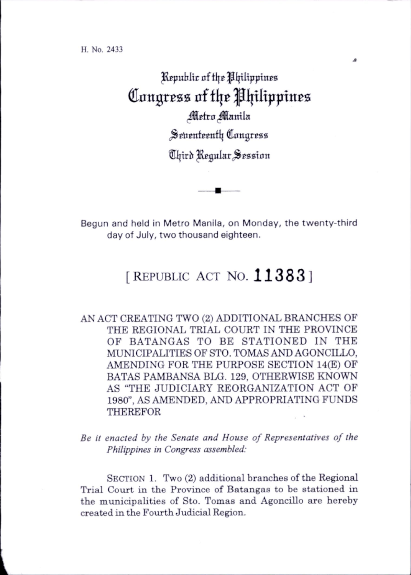H. No. 2433

Jleputlic nf tl|c ^Ipltppines Congress of the Philippines *Metro Manila* Seventeenth Congress Chird Regular Session

Begun and held in Metro Manila, on Monday, the twenty-third day of July, two thousand eighteen.

## [REPUBLIC ACT NO.  $11383$ ]

AN ACT CREATING TWO (2) ADDITIONAL BRANCHES OF THE REGIONAL TRIAL COURT IN THE PROVINCE OF BATANGAS TO BE STATIONED IN THE MUNICIPALITIES OF STO. TOMAS AND AGONCILLO, AMENDING FOR THE PURPOSE SECTION 14(E) OF BATAS PAMBANSA BLG. 129, OTHERWISE KNOWN AS "THE JUDICIARY REORGANIZATION ACT OF 1980", AS AMENDED, AND APPROPRIATING FUNDS THEREFOR

Be it enacted by the Senate and House of Representatives of the Philippines in Congress assembled:

SECTION 1. Two (2) additional branches of the Regional Trial Court in the Province of Batangas to be stationed in the municipalities of Sto. Tomas and Agoncillo are hereby created in the Fourth Judicial Region.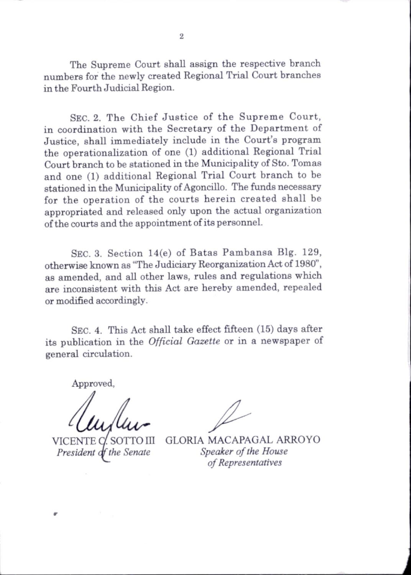The Supreme Court shall assign the respective branch numbers for the newly created Regional Trial Court branches in the Fourth Judicial Region.

Sec. 2. The Chief Justice of the Supreme Court, in coordination with the Secretary of the Department of Justice, shall immediately include in the Court's program the operationalization of one (1) additional Regional Trial Court branch to be stationed in the Municipahty of Sto. Tomas and one (1) additional Regional Trial Court branch to be stationed in the Municipahty of Agoncillo. The funds necessary for the operation of the courts herein created shall be appropriated and released only upon the actual organization of the courts and the appointment of its personnel.

Sec. 3. Section 14(e) of Batas Pambansa Big. 129, otherwise known as "The Judiciary Reorganization Act of 1980", as amended, and all other laws, rules and regulations which are inconsistent with this Act are hereby amended, repealed or modified accordingly.

Sec. 4. This Act shall take effect fifteen (15) days after its publication in the Official Gazette or in a newspaper of general circulation.

Approved.

VICENTE President of the Senate SOTTO III

GLORIA MACAPAGAL ARROYO Speaker of the House of Representatives